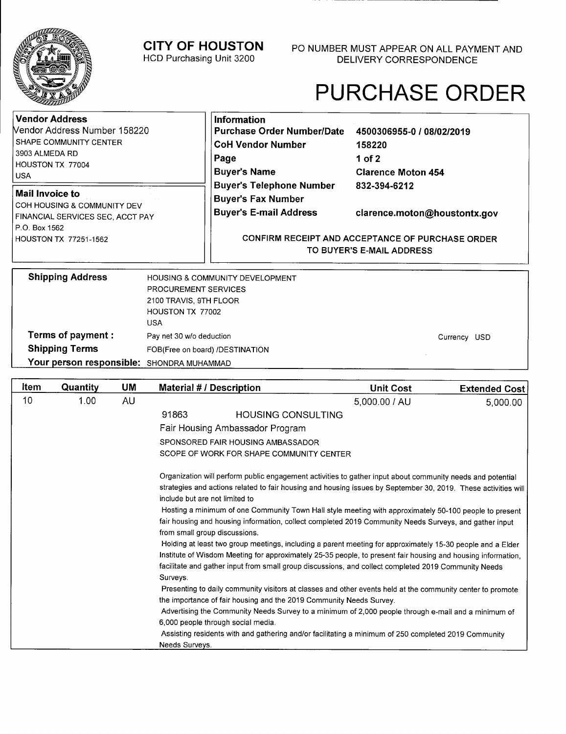**CITY OF HOUSTON**  HCD Purchasing Unit 3200

# PURCHASE ORDER

Currency USD

| <b>Vendor Address</b><br>Nendor Address Number 158220<br>SHAPE COMMUNITY CENTER<br>3903 ALMEDA RD<br>HOUSTON TX 77004<br><b>USA</b><br>Mail Invoice to | Information<br><b>Purchase Order Number/Date</b><br><b>CoH Vendor Number</b><br>Page<br><b>Buyer's Name</b><br><b>Buyer's Telephone Number</b> | 4500306955-0 / 08/02/2019<br>158220<br>1 of 2<br><b>Clarence Moton 454</b><br>832-394-6212                    |
|--------------------------------------------------------------------------------------------------------------------------------------------------------|------------------------------------------------------------------------------------------------------------------------------------------------|---------------------------------------------------------------------------------------------------------------|
| COH HOUSING & COMMUNITY DEV<br>FINANCIAL SERVICES SEC, ACCT PAY<br>P.O. Box 1562<br>HOUSTON TX 77251-1562                                              | <b>Buyer's Fax Number</b><br><b>Buyer's E-mail Address</b>                                                                                     | clarence.moton@houstontx.gov<br>CONFIRM RECEIPT AND ACCEPTANCE OF PURCHASE ORDER<br>TO BUYER'S E-MAIL ADDRESS |
| <b>Shipping Address</b><br>HOUSTON TX 77002                                                                                                            | <b>HOUSING &amp; COMMUNITY DEVELOPMENT</b><br><b>PROCUREMENT SERVICES</b><br>2100 TRAVIS, 9TH FLOOR                                            |                                                                                                               |

**Terms of payment: Shipping Terms Your person responsible:**  SHONDRA MUHAMMAD USA Pay net 30 w/o deduction FOB(Free on board) /DESTINATION

| <b>Item</b> | Quantity | UM | <b>Material # / Description</b>                                                                                                                                                                                                                                                                                                                                                                                                                                                                                                                                                                                                   | <b>Unit Cost</b> | <b>Extended Cost</b> |
|-------------|----------|----|-----------------------------------------------------------------------------------------------------------------------------------------------------------------------------------------------------------------------------------------------------------------------------------------------------------------------------------------------------------------------------------------------------------------------------------------------------------------------------------------------------------------------------------------------------------------------------------------------------------------------------------|------------------|----------------------|
| 10          | 1.00     | AU |                                                                                                                                                                                                                                                                                                                                                                                                                                                                                                                                                                                                                                   | 5,000.00 / AU    | 5,000.00             |
|             |          |    | 91863<br><b>HOUSING CONSULTING</b>                                                                                                                                                                                                                                                                                                                                                                                                                                                                                                                                                                                                |                  |                      |
|             |          |    | Fair Housing Ambassador Program                                                                                                                                                                                                                                                                                                                                                                                                                                                                                                                                                                                                   |                  |                      |
|             |          |    | SPONSORED FAIR HOUSING AMBASSADOR                                                                                                                                                                                                                                                                                                                                                                                                                                                                                                                                                                                                 |                  |                      |
|             |          |    | SCOPE OF WORK FOR SHAPE COMMUNITY CENTER                                                                                                                                                                                                                                                                                                                                                                                                                                                                                                                                                                                          |                  |                      |
|             |          |    | Organization will perform public engagement activities to gather input about community needs and potential<br>strategies and actions related to fair housing and housing issues by September 30, 2019. These activities will<br>include but are not limited to<br>Hosting a minimum of one Community Town Hall style meeting with approximately 50-100 people to present<br>fair housing and housing information, collect completed 2019 Community Needs Surveys, and gather input<br>from small group discussions.<br>Holding at least two group meetings, including a parent meeting for approximately 15-30 people and a Elder |                  |                      |
|             |          |    | Institute of Wisdom Meeting for approximately 25-35 people, to present fair housing and housing information,<br>facilitate and gather input from small group discussions, and collect completed 2019 Community Needs<br>Surveys.                                                                                                                                                                                                                                                                                                                                                                                                  |                  |                      |
|             |          |    | Presenting to daily community visitors at classes and other events held at the community center to promote<br>the importance of fair housing and the 2019 Community Needs Survey.                                                                                                                                                                                                                                                                                                                                                                                                                                                 |                  |                      |
|             |          |    | Advertising the Community Needs Survey to a minimum of 2,000 people through e-mail and a minimum of<br>6,000 people through social media.                                                                                                                                                                                                                                                                                                                                                                                                                                                                                         |                  |                      |
|             |          |    | Assisting residents with and gathering and/or facilitating a minimum of 250 completed 2019 Community<br>Needs Surveys.                                                                                                                                                                                                                                                                                                                                                                                                                                                                                                            |                  |                      |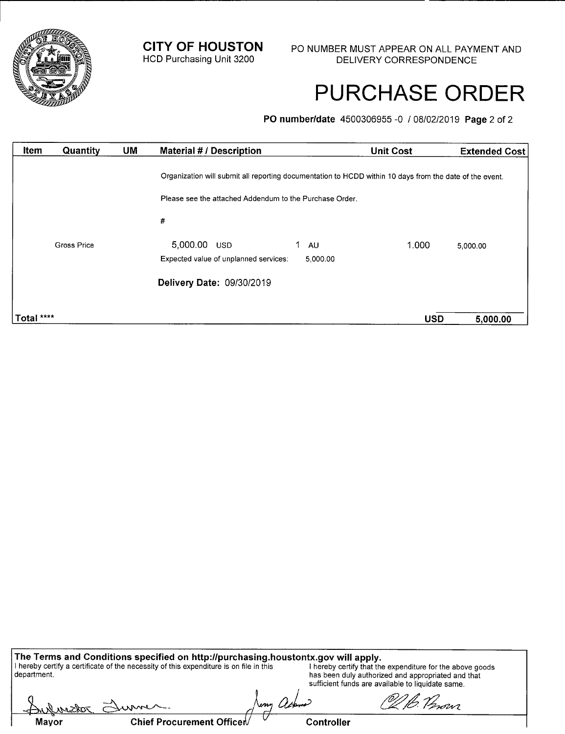

## PURCHASE ORDER

**P0 number/date** 4500306955 -0 / 06/02/2019 **Page** 2 of 2

| Item       | Quantity    | <b>UM</b> | <b>Material # / Description</b>                                                                         |          | <b>Unit Cost</b> | <b>Extended Cost</b> |
|------------|-------------|-----------|---------------------------------------------------------------------------------------------------------|----------|------------------|----------------------|
|            |             |           | Organization will submit all reporting documentation to HCDD within 10 days from the date of the event. |          |                  |                      |
|            |             |           | Please see the attached Addendum to the Purchase Order.                                                 |          |                  |                      |
|            |             |           | #                                                                                                       |          |                  |                      |
|            | Gross Price |           | 5,000.00 USD                                                                                            | AU       | 1.000            | 5,000.00             |
|            |             |           | Expected value of unplanned services:                                                                   | 5,000.00 |                  |                      |
|            |             |           | Delivery Date: 09/30/2019                                                                               |          |                  |                      |
|            |             |           |                                                                                                         |          |                  |                      |
| Total **** |             |           |                                                                                                         |          | <b>USD</b>       | 5,000.00             |

**The Terms and Conditions specified on http:/Ipurchasing.houstontx.govwill apply.**  I hereby certify a certificate of the necessity of this expenditure is on file in this Inereby certify that the expenditure for the above goods department. has been duly authorized and appropriated and that sufficient funds are available to liquidate same.

A. Chief Procurement Officer Controller **/C— Mayor**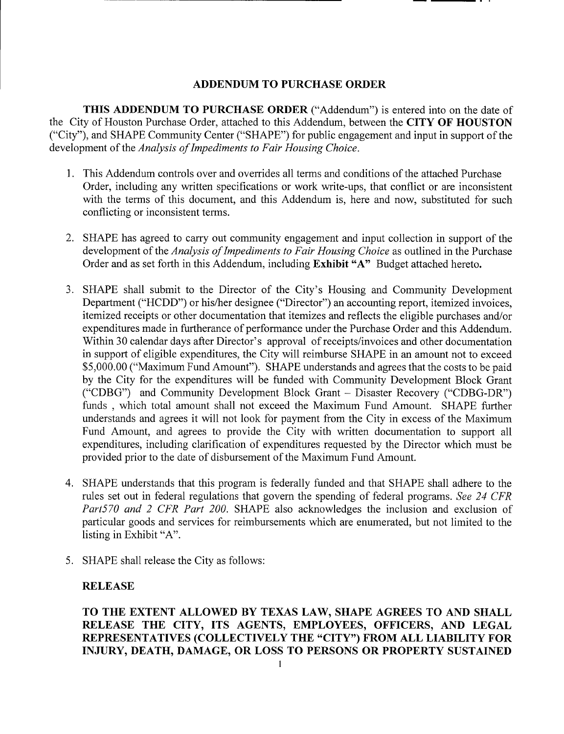## **ADDENDUM TO PURCHASE ORDER**

**THIS ADDENDUM TO PURCHASE ORDER** ("Addendum") is entered into on the date of the City of Houston Purchase Order, attached to this Addendum, between the **CITY OF HOUSTON**  ("City"), and SHAPE Community Center ("SHAPE") for public engagement and input in support of the *development of the Analysis of Impediments to Fair Housing Choice.* 

- 1. This Addendum controls over and overrides all terms and conditions of the attached Purchase Order, including any written specifications or work write-ups, that conflict or are inconsistent with the terms of this document, and this Addendum is, here and now, substituted for such conflicting or inconsistent terms.
- 2. SHAPE has agreed to carry out community engagement and input collection in support of the development of the *Analysis of Impediments to Fair Housing Choice* as outlined in the Purchase Order and as set forth in this Addendum, including **Exhibit "A"** Budget attached hereto.
- 3. SHAPE shall submit to the Director of the City's Housing and Community Development Department ("HCDD") or his/her designee ("Director") an accounting report, itemized invoices, itemized receipts or other documentation that itemizes and reflects the eligible purchases and/or expenditures made in furtherance of performance under the Purchase Order and this Addendum. Within 30 calendar days after Director's approval of receipts/invoices and other documentation in support of eligible expenditures, the City will reimburse SHAPE in an amount not to exceed \$5,000.00 ("Maximum Fund Amount"). SHAPE understands and agrees that the costs to be paid by the City for the expenditures will be funded with Community Development Block Grant ("CDBG") and Community Development Block Grant — Disaster Recovery ("CDBG-DR") funds , which total amount shall not exceed the Maximum Fund Amount. SHAPE further understands and agrees it will not look for payment from the City in excess of the Maximum Fund Amount, and agrees to provide the City with written documentation to support all expenditures, including clarification of expenditures requested by the Director which must be provided prior to the date of disbursement of the Maximum Fund Amount.
- 4. SHAPE understands that this program is federally funded and that SHAPE shall adhere to the rules set out in federal regulations that govern the spending of federal programs. *See 24 CFR Part570 and 2 CFR Part 200.* SHAPE also acknowledges the inclusion and exclusion of particular goods and services for reimbursements which are enumerated, but not limited to the listing in Exhibit "A".
- 5. SHAPE shall release the City as follows:

## **RELEASE**

**TO THE EXTENT ALLOWED BY TEXAS LAW, SHAPE AGREES TO AND SHALL RELEASE THE CITY, ITS AGENTS, EMPLOYEES, OFFICERS, AND LEGAL REPRESENTATIVES (COLLECTIVELY THE "CITY") FROM ALL LIABILITY FOR INJURY, DEATH, DAMAGE, OR LOSS TO PERSONS OR PROPERTY SUSTAINED**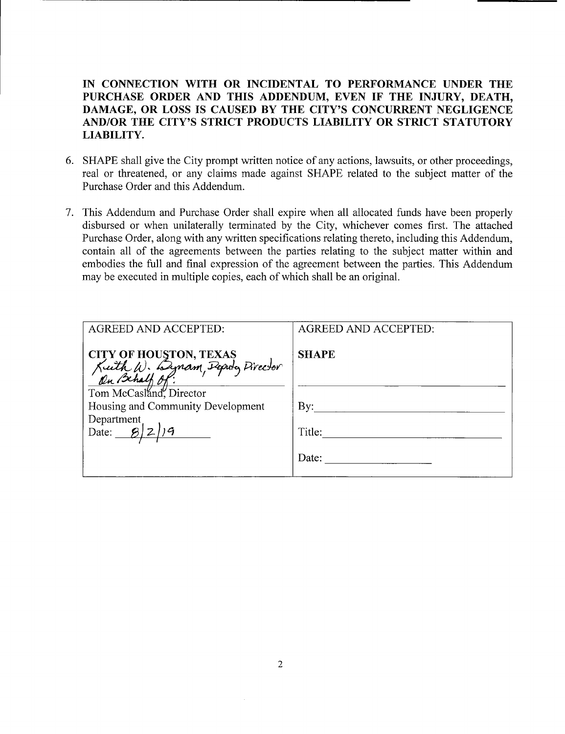**IN CONNECTION WITH OR INCIDENTAL TO PERFORMANCE UNDER THE PURCHASE ORDER AND THIS ADDENDUM, EVEN IF THE INJURY, DEATH, DAMAGE, OR LOSS IS CAUSED BY THE CITY'S CONCURRENT NEGLIGENCE AND/OR THE CITY'S STRICT PRODUCTS LIABILITY OR STRICT STATUTORY LIABILITY.** 

- 6. SHAPE shall give the City prompt written notice of any actions, lawsuits, or other proceedings, real or threatened, or any claims made against SHAPE related to the subject matter of the Purchase Order and this Addendum.
- 7. This Addendum and Purchase Order shall expire when all allocated funds have been properly disbursed or when unilaterally terminated by the City, whichever comes first. The attached Purchase Order, along with any written specifications relating thereto, including this Addendum, contain all of the agreements between the parties relating to the subject matter within and embodies the full and final expression of the agreement between the parties. This Addendum may be executed in multiple copies, each of which shall be an original.

| <b>AGREED AND ACCEPTED:</b>                                                                          | <b>AGREED AND ACCEPTED:</b> |
|------------------------------------------------------------------------------------------------------|-----------------------------|
| CITY OF HOUSTON, TEXAS<br>Kuth W. Lynam, Peputy Pirector<br>On Behalf Of:<br>Tom McCasland, Director | <b>SHAPE</b>                |
| Housing and Community Development                                                                    | By:                         |
| Department<br>Date:                                                                                  | Title:                      |
|                                                                                                      | Date:                       |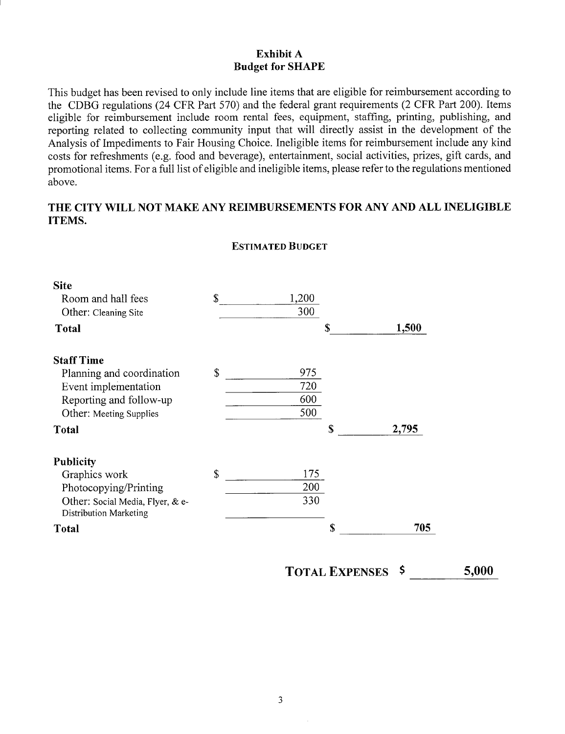### **Exhibit** A **Budget for SHAPE**

This budget has been revised to only include line items that are eligible for reimbursement according to the CDBG regulations (24 CFR Part *570)* and the federal grant requirements (2 CFR Part 200). Items eligible for reimbursement include room rental fees, equipment, staffing, printing, publishing, and reporting related to collecting community input that will directly assist in the development of the Analysis of Impediments to Fair Housing Choice. Ineligible items for reimbursement include any kind costs for refreshments (e.g. food and beverage), entertainment, social activities, prizes, gift cards, and promotional items. For a full list of eligible and ineligible items, please refer to the regulations mentioned above.

### **THE CITY WILL NOT MAKE ANY REIMBURSEMENTS FOR** ANY AND ALL **INELIGIBLE ITEMS.**

| <b>Site</b>                                                       |              |       |             |       |
|-------------------------------------------------------------------|--------------|-------|-------------|-------|
| Room and hall fees                                                | $\mathbb{S}$ | 1,200 |             |       |
| Other: Cleaning Site                                              |              | 300   |             |       |
| <b>Total</b>                                                      |              |       | S           | 1,500 |
| <b>Staff Time</b>                                                 |              |       |             |       |
| Planning and coordination                                         | \$           | 975   |             |       |
| Event implementation                                              |              | 720   |             |       |
| Reporting and follow-up                                           |              | 600   |             |       |
| Other: Meeting Supplies                                           |              | 500   |             |       |
| <b>Total</b>                                                      |              |       | $\mathbf S$ | 2,795 |
| <b>Publicity</b>                                                  |              |       |             |       |
| Graphics work                                                     | \$           | 175   |             |       |
| Photocopying/Printing                                             |              | 200   |             |       |
| Other: Social Media, Flyer, & e-<br><b>Distribution Marketing</b> |              | 330   |             |       |
| Total                                                             |              |       | \$          | 705   |

### **ESTIMATED BUDGET**

**TOTAL EXPENSES** \$ **5,000**